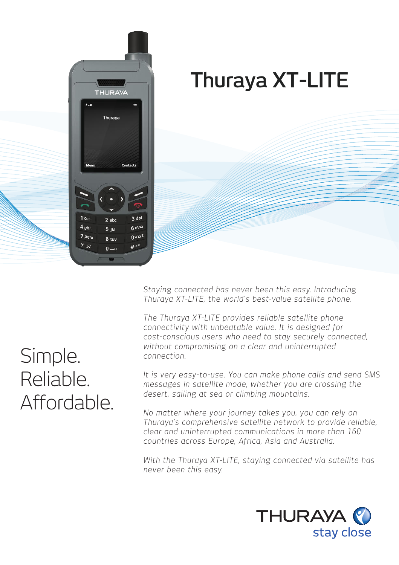

# **Thuraya XT-LITE**

*Staying connected has never been this easy. Introducing Thuraya XT-LITE, the world's best-value satellite phone.* 

*The Thuraya XT-LITE provides reliable satellite phone connectivity with unbeatable value. It is designed for cost-conscious users who need to stay securely connected, without compromising on a clear and uninterrupted connection.* 

*It is very easy-to-use. You can make phone calls and send SMS messages in satellite mode, whether you are crossing the desert, sailing at sea or climbing mountains.* 

*No matter where your journey takes you, you can rely on Thuraya's comprehensive satellite network to provide reliable, clear and uninterrupted communications in more than 160 countries across Europe, Africa, Asia and Australia.* 

*With the Thuraya XT-LITE, staying connected via satellite has never been this easy.* 



## Simple. Reliable. Affordable.